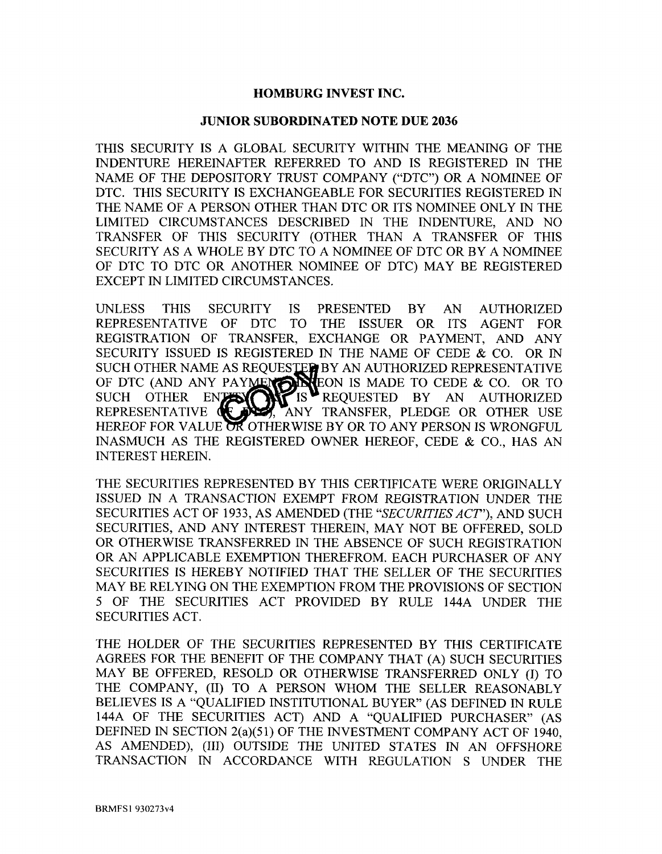# **HOMBURG INVEST INC.**

## **JUNIOR SUBORDINATED NOTE DUE 2036**

THIS SECURITY IS A GLOBAL SECURITY WITHIN THE MEANING OF THE INDENTURE HEREINAFTER REFERRED TO AND IS REGISTERED IN THE NAME OF THE DEPOSITORY TRUST COMPANY ("DTC") OR A NOMINEE OF DTC. THIS SECURITY IS EXCHANGEABLE FOR SECURITIES REGISTERED IN THE NAME OF A PERSON OTHER THAN DTC OR ITS NOMINEE ONLY IN THE LIMITED CIRCUMSTANCES DESCRIBED IN THE INDENTURE, AND NO TRANSFER OF THIS SECURITY (OTHER THAN A TRANSFER OF THIS SECURITY AS A WHOLE BY DTC TO A NOMINEE OF DTC OR BY A NOMINEE OF DTC TO DTC OR ANOTHER NOMINEE OF DTC) MAY BE REGISTERED EXCEPT IN LIMITED CIRCUMSTANCES.

UNLESS THIS SECURITY IS PRESENTED BY AN AUTHORIZED REPRESENTATIVE OF DTC TO THE ISSUER OR ITS AGENT FOR REGISTRATION OF TRANSFER, EXCHANGE OR PAYMENT, AND ANY SECURITY ISSUED IS REGISTERED IN THE NAME OF CEDE & CO. OR IN SUCH OTHER NAME AS REQUESTED BY AN AUTHORIZED REPRESENTATIVE OF DTC (AND ANY PAYMENT MARE ON IS MADE TO CEDE & CO. OR TO SUCH OTHER ENTER  $\bigcap_{i=1}^{\infty}$  is  $\bigcap_{i=1}^{\infty}$  requested by an authorized REPRESENTATIVE TRANSFER, PLEDGE OR OTHER USE HEREOF FOR VALUE OR OTHERWISE BY OR TO ANY PERSON IS WRONGFUL INASMUCH AS THE REGISTERED OWNER HEREOF, CEDE & CO., HAS AN INTEREST HEREIN.

THE SECURITIES REPRESENTED BY THIS CERTIFICATE WERE ORIGINALLY ISSUED IN A TRANSACTION EXEMPT FROM REGISTRATION UNDER THE SECURITIES ACT OF 1933, AS AMENDED (THE *"SECURITIES ACT"),* AND SUCH SECURITIES, AND ANY INTEREST THEREIN, MAY NOT BE OFFERED, SOLD OR OTHERWISE TRANSFERRED IN THE ABSENCE OF SUCH REGISTRATION OR AN APPLICABLE EXEMPTION THEREFROM. EACH PURCHASER OF ANY SECURITIES IS HEREBY NOTIFIED THAT THE SELLER OF THE SECURITIES MAY BE RELYING ON THE EXEMPTION FROM THE PROVISIONS OF SECTION 5 OF THE SECURITIES ACT PROVIDED BY RULE 144A UNDER THE SECURITIES ACT.

THE HOLDER OF THE SECURITIES REPRESENTED BY THIS CERTIFICATE AGREES FOR THE BENEFIT OF THE COMPANY THAT (A) SUCH SECURITIES MAY BE OFFERED, RESOLD OR OTHERWISE TRANSFERRED ONLY (I) TO THE COMPANY, (II) TO A PERSON WHOM THE SELLER REASONABLY BELIEVES IS A "QUALIFIED INSTITUTIONAL BUYER" (AS DEFINED IN RULE 144A OF THE SECURITIES ACT) AND A "QUALIFIED PURCHASER" (AS DEFINED IN SECTION 2(a)(51) OF THE INVESTMENT COMPANY ACT OF 1940, AS AMENDED), (III) OUTSIDE THE UNITED STATES IN AN OFFSHORE TRANSACTION IN ACCORDANCE WITH REGULATION S UNDER THE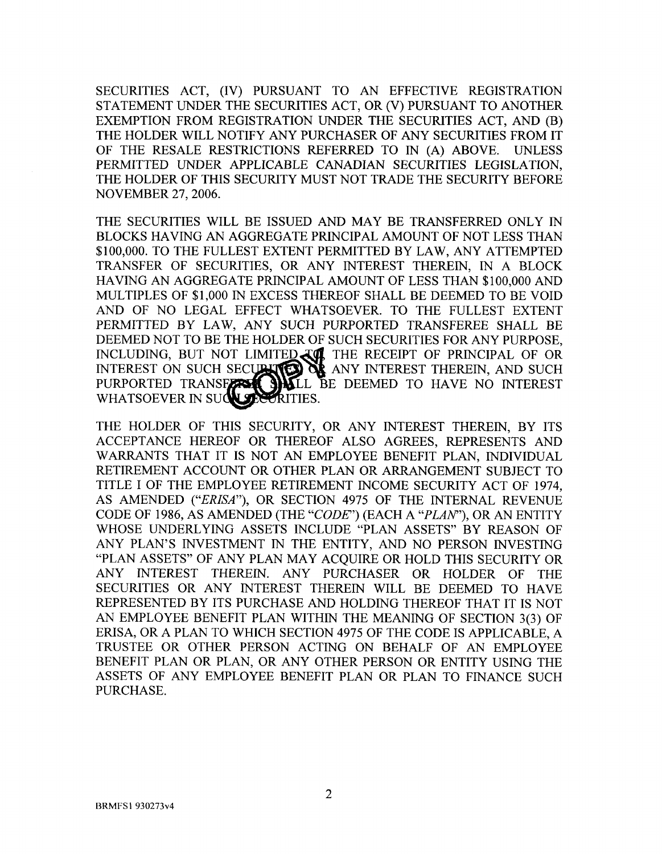SECURITIES ACT, (IV) PURSUANT TO AN EFFECTIVE REGISTRATION STATEMENT UNDER THE SECURITIES ACT, OR (V) PURSUANT TO ANOTHER EXEMPTION FROM REGISTRATION UNDER THE SECURITIES ACT, AND (B) THE HOLDER WILL NOTIFY ANY PURCHASER OF ANY SECURITIES FROM IT OF THE RESALE RESTRICTIONS REFERRED TO IN (A) ABOVE. UNLESS PERMITTED UNDER APPLICABLE CANADIAN SECURITIES LEGISLATION, THE HOLDER OF THIS SECURITY MUST NOT TRADE THE SECURITY BEFORE NOVEMBER 27, 2006.

THE SECURITIES WILL BE ISSUED AND MAY BE TRANSFERRED ONLY IN BLOCKS HAVING AN AGGREGATE PRINCIPAL AMOUNT OF NOT LESS THAN \$100,000. TO THE FULLEST EXTENT PERMITTED BY LAW, ANY ATTEMPTED TRANSFER OF SECURITIES, OR ANY INTEREST THEREIN, IN A BLOCK HAVING AN AGGREGATE PRINCIPAL AMOUNT OF LESS THAN \$100,000 AND MULTIPLES OF \$1,000 IN EXCESS THEREOF SHALL BE DEEMED TO BE VOID AND OF NO LEGAL EFFECT WHATSOEVER. TO THE FULLEST EXTENT PERMITTED BY LAW, ANY SUCH PURPORTED TRANSFEREE SHALL BE DEEMED NOT TO BE THE HOLDER OF SUCH SECURITIES FOR ANY PURPOSE, INCLUDING, BUT NOT LIMITED TO THE RECEIPT OF PRINCIPAL OF OR INTEREST ON SUCH SECUPITED OF ANY INTEREST THEREIN, AND SUCH PURPORTED TRANSFARE SHILL BE DEEMED TO HAVE NO INTEREST WHATSOEVER IN

THE HOLDER OF THIS SECURITY, OR ANY INTEREST THEREIN, BY ITS ACCEPTANCE HEREOF OR THEREOF ALSO AGREES, REPRESENTS AND WARRANTS THAT IT IS NOT AN EMPLOYEE BENEFIT PLAN, INDIVIDUAL RETIREMENT ACCOUNT OR OTHER PLAN OR ARRANGEMENT SUBJECT TO TITLE I OF THE EMPLOYEE RETIREMENT INCOME SECURITY ACT OF 1974, AS AMENDED *("ERISA"),* OR SECTION 4975 OF THE INTERNAL REVENUE CODE OF 1986, AS AMENDED (THE *"CODE")* (EACH A *"PLAN"),* OR AN ENTITY WHOSE UNDERLYING ASSETS INCLUDE "PLAN ASSETS" BY REASON OF ANY PLAN'S INVESTMENT IN THE ENTITY, AND NO PERSON INVESTING "PLAN ASSETS" OF ANY PLAN MAY ACQUIRE OR HOLD THIS SECURITY OR ANY INTEREST THEREIN. ANY PURCHASER OR HOLDER OF THE SECURITIES OR ANY INTEREST THEREIN WILL BE DEEMED TO HAVE REPRESENTED BY ITS PURCHASE AND HOLDING THEREOF THAT IT IS NOT AN EMPLOYEE BENEFIT PLAN WITHIN THE MEANING OF SECTION 3(3) OF ERISA, OR A PLAN TO WHICH SECTION 4975 OF THE CODE IS APPLICABLE, A TRUSTEE OR OTHER PERSON ACTING ON BEHALF OF AN EMPLOYEE BENEFIT PLAN OR PLAN, OR ANY OTHER PERSON OR ENTITY USING THE ASSETS OF ANY EMPLOYEE BENEFIT PLAN OR PLAN TO FINANCE SUCH PURCHASE.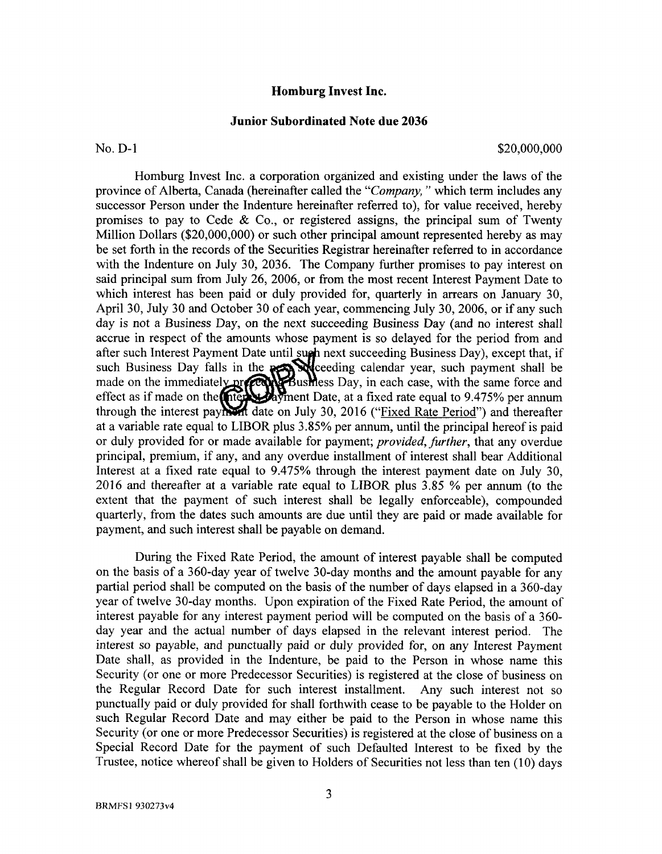### **Homburg Invest Inc.**

#### **Junior Subordinated Note due 2036**

No. D-1 \$20,000,000 \$20,000,000 \$20,000,000 \$20,000,000 \$20,000,000 \$20,000 \$20,000 \$20,000 \$20,000 \$20,000 \$20

Homburg Invest Inc. a corporation organized and existing under the laws of the province of Alberta, Canada (hereinafter called the *"Company,"* which term includes any successor Person under the Indenture hereinafter referred to), for value received, hereby promises to pay to Cede  $\&$  Co., or registered assigns, the principal sum of Twenty Million Dollars (\$20,000,000) or such other principal amount represented hereby as may be set forth in the records of the Securities Registrar hereinafter referred to in accordance with the Indenture on July 30, 2036. The Company further promises to pay interest on said principal sum from July 26, 2006, or from the most recent Interest Payment Date to which interest has been paid or duly provided for, quarterly in arrears on January 30, April 30, July 30 and October 30 of each year, commencing July 30, 2006, or if any such day is not a Business Day, on the next succeeding Business Day (and no interest shall accrue in respect of the amounts whose payment is so delayed for the period from and after such Interest Payment Date until such next succeeding Business Day), except that, if such Business Day falls in the  $\sum$  edge calendar year, such payment shall be made on the immediately properly Bushless Day, in each case, with the same force and effect as if made on the network bayment Date, at a fixed rate equal to 9.475% per annum through the interest payh, date on July 30, 2016 ("Fixed Rate Period") and thereafter at a variable rate equal to LIBOR plus 3.85% per annum, until the principal hereof is paid or duly provided for or made available for payment; *provided, further,* that any overdue principal, premium, if any, and any overdue installment of interest shall bear Additional Interest at a fixed rate equal to 9.475% through the interest payment date on July 30, 2016 and thereafter at a variable rate equal to LIBOR plus 3.85 % per annum (to the extent that the payment of such interest shall be legally enforceable), compounded quarterly, from the dates such amounts are due until they are paid or made available for payment, and such interest shall be payable on demand.

During the Fixed Rate Period, the amount of interest payable shall be computed on the basis of a 360-day year of twelve 30-day months and the amount payable for any partial period shall be computed on the basis of the number of days elapsed in a 360-day year of twelve 30-day months. Upon expiration of the Fixed Rate Period, the amount of interest payable for any interest payment period will be computed on the basis of a 360 day year and the actual number of days elapsed in the relevant interest period. The interest so payable, and punctually paid or duly provided for, on any Interest Payment Date shall, as provided in the Indenture, be paid to the Person in whose name this Security (or one or more Predecessor Securities) is registered at the close of business on the Regular Record Date for such interest installment. Any such interest not so punctually paid or duly provided for shall forthwith cease to be payable to the Holder on such Regular Record Date and may either be paid to the Person in whose name this Security (or one or more Predecessor Securities) is registered at the close of business on a Special Record Date for the payment of such Defaulted Interest to be fixed by the Trustee, notice whereof shall be given to Holders of Securities not less than ten (10) days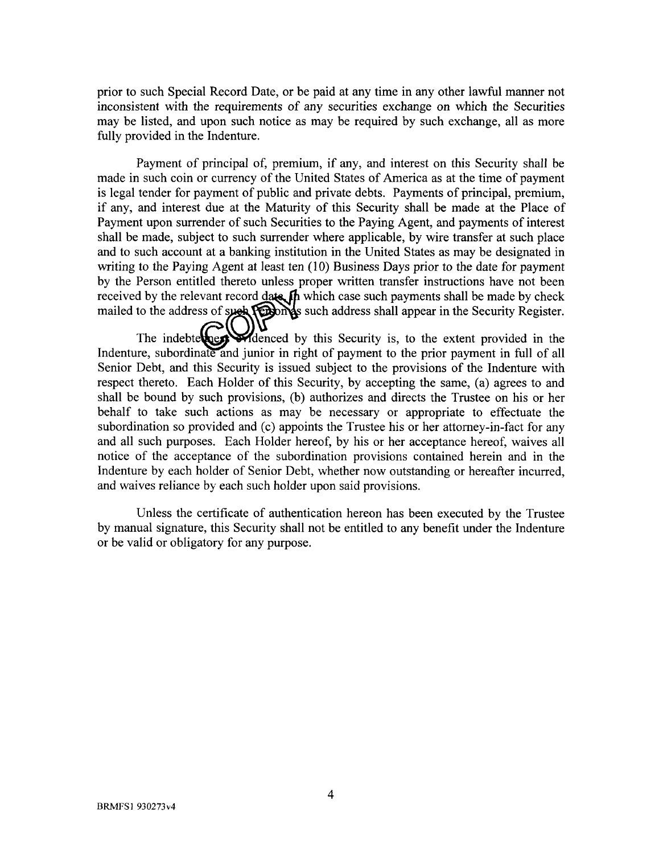prior to such Special Record Date, or be paid at any time in any other lawful manner not inconsistent with the requirements of any securities exchange on which the Securities may be listed, and upon such notice as may be required by such exchange, all as more fully provided in the Indenture.

Payment of principal of, premium, if any, and interest on this Security shall be made in such coin or currency of the United States of America as at the time of payment is legal tender for payment of public and private debts. Payments of principal, premium, if any, and interest due at the Maturity of this Security shall be made at the Place of Payment upon surrender of such Securities to the Paying Agent, and payments of interest shall be made, subject to such surrender where applicable, by wire transfer at such place and to such account at a banking institution in the United States as may be designated in writing to the Paying Agent at least ten (10) Business Days prior to the date for payment by the Person entitled thereto unless proper written transfer instructions have not been received by the relevant record  $\frac{da}{k}$  which case such payments shall be made by check mailed to the address of such  $\sqrt{2}$  such address shall appear in the Security Register.

The indebtel  $\bigodot$   $\bigodot$   $\bigodot$   $\bigodot$  and the Security is, to the extent provided in the Indenture, subordinate and junior in right of payment to the prior payment in full of all Senior Debt, and this Security is issued subject to the provisions of the Indenture with respect thereto. Each Holder of this Security, by accepting the same, (a) agrees to and shall be bound by such provisions, (b) authorizes and directs the Trustee on his or her behalf to take such actions as may be necessary or appropriate to effectuate the subordination so provided and (c) appoints the Trustee his or her attorney-in-fact for any and all such purposes. Each Holder hereof, by his or her acceptance hereof, waives all notice of the acceptance of the subordination provisions contained herein and in the Indenture by each holder of Senior Debt, whether now outstanding or hereafter incurred, and waives reliance by each such holder upon said provisions.

Unless the certificate of authentication hereon has been executed by the Trustee by manual signature, this Security shall not be entitled to any benefit under the Indenture or be valid or obligatory for any purpose.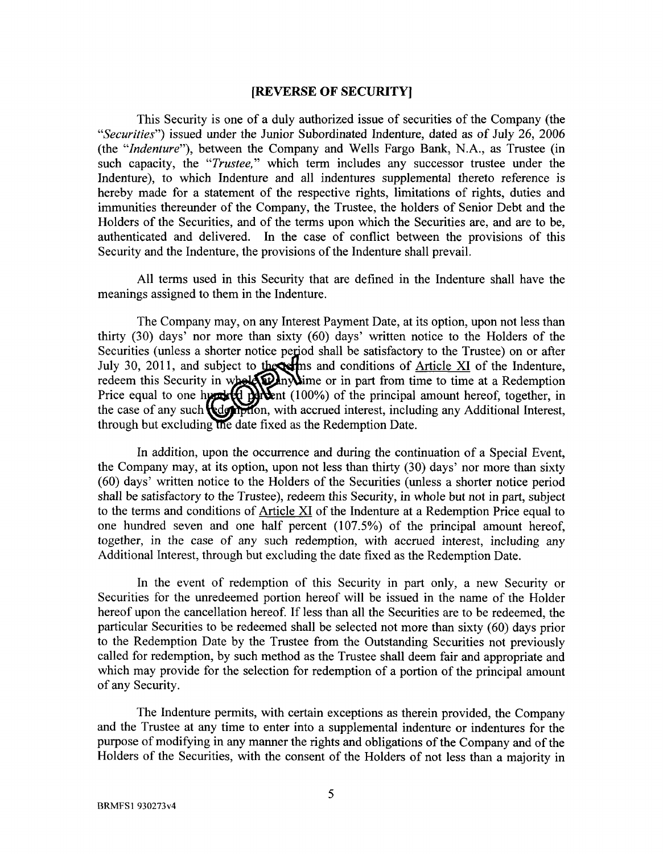#### **[REVERSE OF SECURITY]**

This Security is one of a duly authorized issue of securities of the Company (the *"Securities")* issued under the Junior Subordinated Indenture, dated as of July 26, 2006 (the *"Indenture"),* between the Company and Wells Fargo Bank, N.A., as Trustee (in such capacity, the *"Trustee,"* which term includes any successor trustee under the Indenture), to which Indenture and all indentures supplemental thereto reference is hereby made for a statement of the respective rights, limitations of rights, duties and immunities thereunder of the Company, the Trustee, the holders of Senior Debt and the Holders of the Securities, and of the terms upon which the Securities are, and are to be, authenticated and delivered. In the case of conflict between the provisions of this Security and the Indenture, the provisions of the Indenture shall prevail.

All terms used in this Security that are defined in the Indenture shall have the meanings assigned to them in the Indenture.

The Company may, on any Interest Payment Date, at its option, upon not less than thirty (30) days' nor more than sixty (60) days' written notice to the Holders of the Securities (unless a shorter notice period shall be satisfactory to the Trustee) on or after July 30, 2011, and subject to the setting and conditions of  $\frac{\text{Article XI}}{\text{Article XI}}$  of the Indenture, redeem this Security in whele  $\sum_{n=1}^{\infty}$  my  $\sum_{n=1}^{\infty}$  from time to time at a Redemption Price equal to one hypertial  $\frac{100\%}{2}$  of the principal amount hereof, together, in the case of any such **depity**tion, with accrued interest, including any Additional Interest, through but excluding the date fixed as the Redemption Date.

In addition, upon the occurrence and during the continuation of a Special Event, the Company may, at its option, upon not less than thirty (30) days' nor more than sixty (60) days' written notice to the Holders of the Securities (unless a shorter notice period shall be satisfactory to the Trustee), redeem this Security, in whole but not in part, subject to the terms and conditions of Article XI of the Indenture at a Redemption Price equal to one hundred seven and one half percent (107.5%) of the principal amount hereof, together, in the case of any such redemption, with accrued interest, including any Additional Interest, through but excluding the date fixed as the Redemption Date.

In the event of redemption of this Security in part only, a new Security or Securities for the unredeemed portion hereof will be issued in the name of the Holder hereof upon the cancellation hereof. If less than all the Securities are to be redeemed, the particular Securities to be redeemed shall be selected not more than sixty (60) days prior to the Redemption Date by the Trustee from the Outstanding Securities not previously called for redemption, by such method as the Trustee shall deem fair and appropriate and which may provide for the selection for redemption of a portion of the principal amount of any Security.

The Indenture permits, with certain exceptions as therein provided, the Company and the Trustee at any time to enter into a supplemental indenture or indentures for the purpose of modifying in any manner the rights and obligations of the Company and of the Holders of the Securities, with the consent of the Holders of not less than a majority in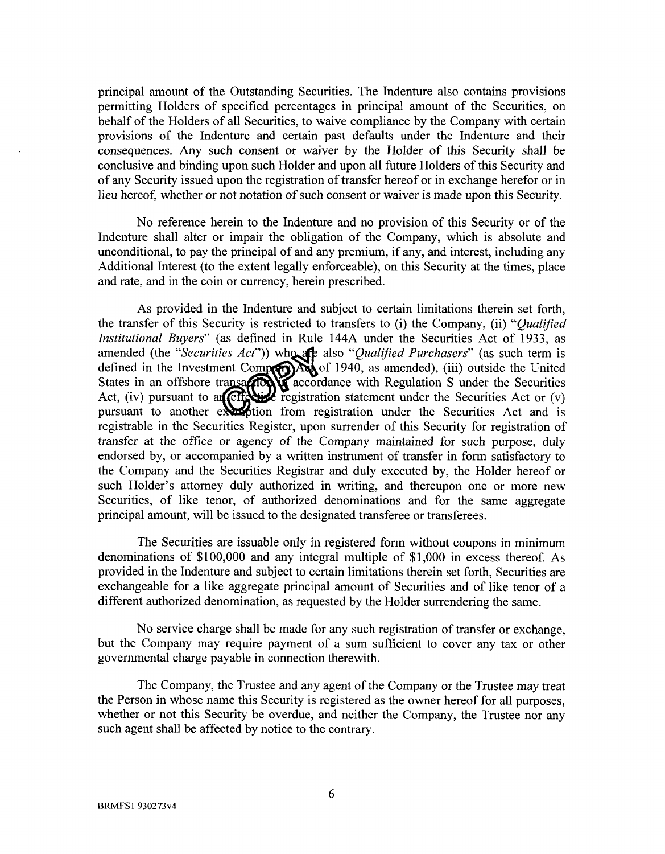principal amount of the Outstanding Securities. The Indenture also contains provisions permitting Holders of specified percentages in principal amount of the Securities, on behalf of the Holders of all Securities, to waive compliance by the Company with certain provisions of the Indenture and certain past defaults under the Indenture and their consequences. Any such consent or waiver by the Holder of this Security shall be conclusive and binding upon such Holder and upon all future Holders of this Security and of any Security issued upon the registration of transfer hereof or in exchange herefor or in lieu hereof, whether or not notation of such consent or waiver is made upon this Security.

No reference herein to the Indenture and no provision of this Security or of the Indenture shall alter or impair the obligation of the Company, which is absolute and unconditional, to pay the principal of and any premium, if any, and interest, including any Additional Interest (to the extent legally enforceable), on this Security at the times, place and rate, and in the coin or currency, herein prescribed.

As provided in the Indenture and subject to certain limitations therein set forth, the transfer of this Security is restricted to transfers to (i) the Company, (ii) *"Qualified Institutional Buyers"* (as defined in Rule 144A under the Securities Act of 1933, as amended (the "Securities Act")) who are also "Qualified Purchasers" (as such term is defined in the Investment Compression  $\log$  of 1940, as amended), (iii) outside the United States in an offshore transaction  $\sum$  accordance with Regulation S under the Securities Act, (iv) pursuant to an effective registration statement under the Securities Act or (v) pursuant to another examplion from registration under the Securities Act and is registrable in the Securities Register, upon surrender of this Security for registration of transfer at the office or agency of the Company maintained for such purpose, duly endorsed by, or accompanied by a written instrument of transfer in form satisfactory to the Company and the Securities Registrar and duly executed by, the Holder hereof or such Holder's attorney duly authorized in writing, and thereupon one or more new Securities, of like tenor, of authorized denominations and for the same aggregate principal amount, will be issued to the designated transferee or transferees.

The Securities are issuable only in registered form without coupons in minimum denominations of \$100,000 and any integral multiple of \$1,000 in excess thereof. As provided in the Indenture and subject to certain limitations therein set forth, Securities are exchangeable for a like aggregate principal amount of Securities and of like tenor of a different authorized denomination, as requested by the Holder surrendering the same.

No service charge shall be made for any such registration of transfer or exchange, but the Company may require payment of a sum sufficient to cover any tax or other governmental charge payable in connection therewith.

The Company, the Trustee and any agent of the Company or the Trustee may treat the Person in whose name this Security is registered as the owner hereof for all purposes, whether or not this Security be overdue, and neither the Company, the Trustee nor any such agent shall be affected by notice to the contrary.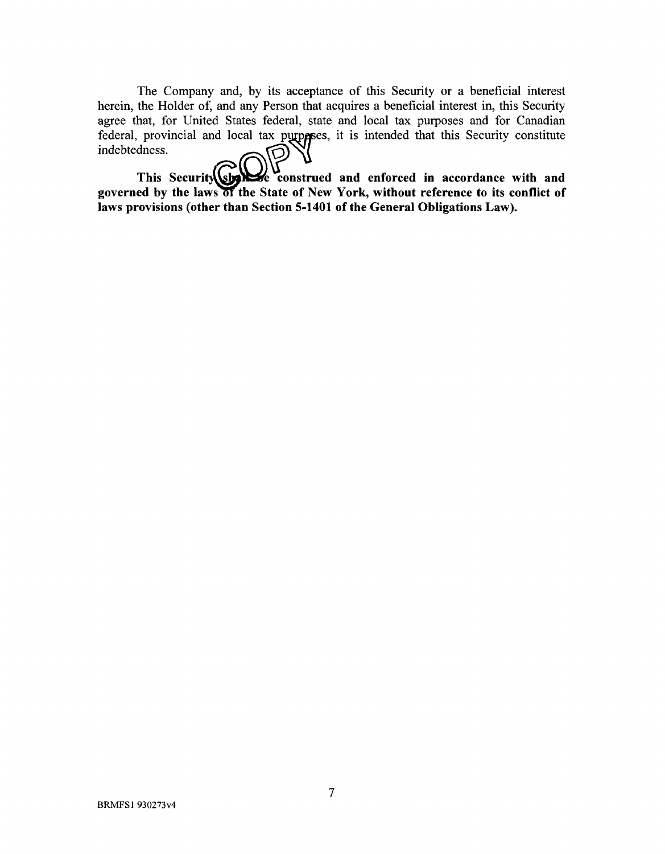The Company and, by its acceptance of this Security or a beneficial interest herein, the Holder of, and any Person that acquires a beneficial interest in, this Security agree that, for United States federal, state and local tax purposes and for Canadian federal, provincial and local tax purperses, it is intended that this Security constitute indebtedness. <u>ලා</u>

This Security Charles construed and enforced in accordance with and governed by the laws of the State of New York, without reference to its conflict of **laws provisions (other than Section 5-1401 of the General Obligations Law).**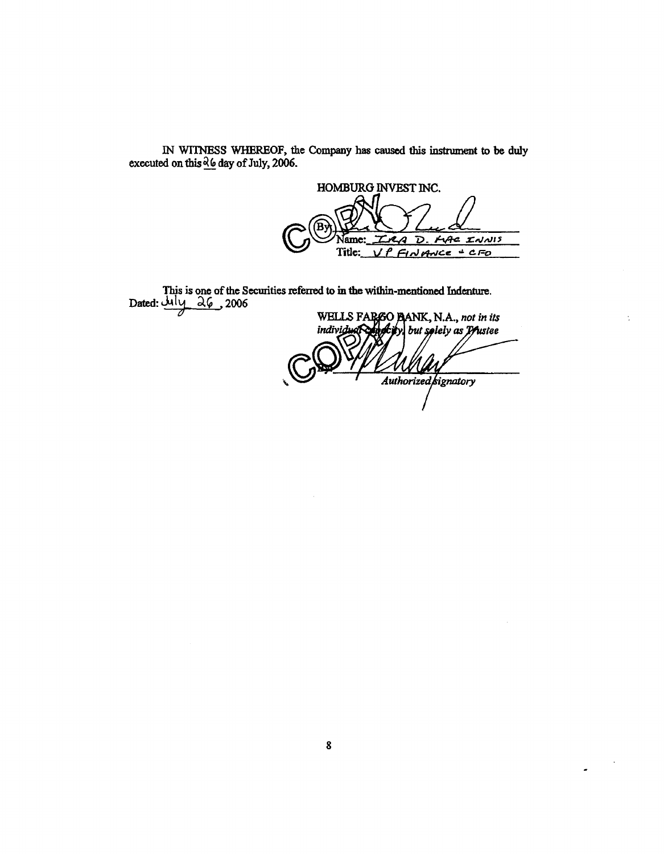IN WITNESS WHEREOF, the Company has caused this instrument to be duly executed on this  $\frac{\partial (a)}{\partial y}$  day of July, 2006.

HOMBURG INVEST INC. **FLAC INNIS**  $\overline{\mathcal{D}}$ Name 4  $FINANCE = CFD$ Title: L

This is one of the Securities referred to in the within-mentioned Indenture.<br>Dated:  $\underline{\mathcal{M}}\underline{\mathcal{V}}$   $\underline{\mathcal{Q}}\underline{\mathcal{G}}$  , 2006

WELLS FARGO BANK, N.A., not in its<br>individual capacity but splely as Prustee Authorized signatory